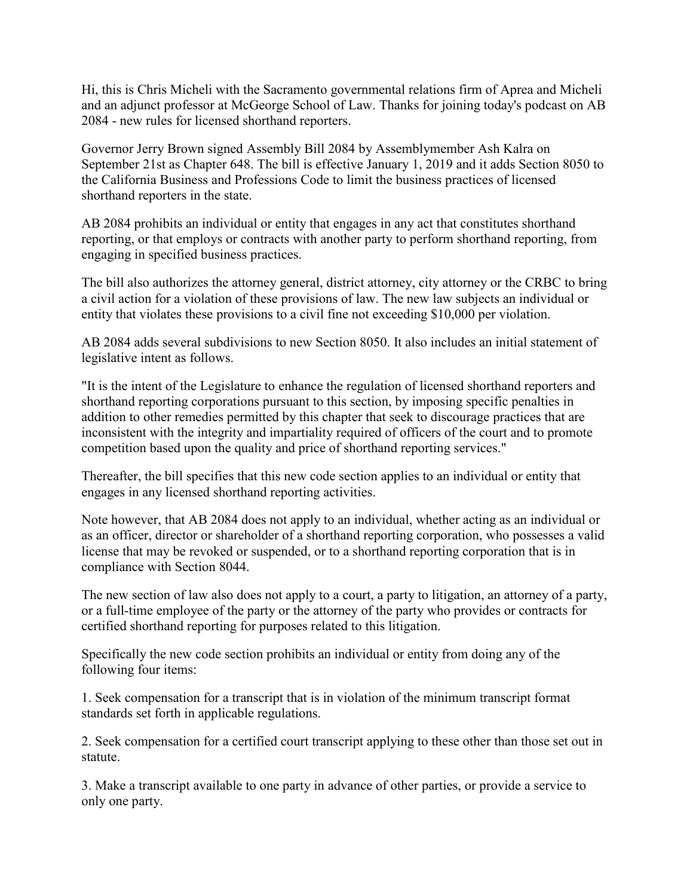Hi, this is Chris Micheli with the Sacramento governmental relations firm of Aprea and Micheli and an adjunct professor at McGeorge School of Law. Thanks for joining today's podcast on AB 2084 - new rules for licensed shorthand reporters.

Governor Jerry Brown signed Assembly Bill 2084 by Assemblymember Ash Kalra on September 21st as Chapter 648. The bill is effective January 1, 2019 and it adds Section 8050 to the California Business and Professions Code to limit the business practices of licensed shorthand reporters in the state.

AB 2084 prohibits an individual or entity that engages in any act that constitutes shorthand reporting, or that employs or contracts with another party to perform shorthand reporting, from engaging in specified business practices.

The bill also authorizes the attorney general, district attorney, city attorney or the CRBC to bring a civil action for a violation of these provisions of law. The new law subjects an individual or entity that violates these provisions to a civil fine not exceeding \$10,000 per violation.

AB 2084 adds several subdivisions to new Section 8050. It also includes an initial statement of legislative intent as follows.

"It is the intent of the Legislature to enhance the regulation of licensed shorthand reporters and shorthand reporting corporations pursuant to this section, by imposing specific penalties in addition to other remedies permitted by this chapter that seek to discourage practices that are inconsistent with the integrity and impartiality required of officers of the court and to promote competition based upon the quality and price of shorthand reporting services."

Thereafter, the bill specifies that this new code section applies to an individual or entity that engages in any licensed shorthand reporting activities.

Note however, that AB 2084 does not apply to an individual, whether acting as an individual or as an officer, director or shareholder of a shorthand reporting corporation, who possesses a valid license that may be revoked or suspended, or to a shorthand reporting corporation that is in compliance with Section 8044.

The new section of law also does not apply to a court, a party to litigation, an attorney of a party, or a full-time employee of the party or the attorney of the party who provides or contracts for certified shorthand reporting for purposes related to this litigation.

Specifically the new code section prohibits an individual or entity from doing any of the following four items:

1. Seek compensation for a transcript that is in violation of the minimum transcript format standards set forth in applicable regulations.

2. Seek compensation for a certified court transcript applying to these other than those set out in statute.

3. Make a transcript available to one party in advance of other parties, or provide a service to only one party.